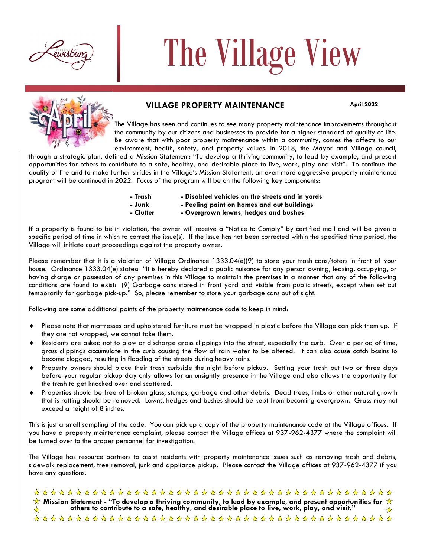

# The Village View



# **VILLAGE PROPERTY MAINTENANCE** April 2022

The Village has seen and continues to see many property maintenance improvements throughout the community by our citizens and businesses to provide for a higher standard of quality of life. Be aware that with poor property maintenance within a community, comes the affects to our environment, health, safety, and property values. In 2018, the Mayor and Village council,

through a strategic plan, defined a Mission Statement: "To develop a thriving community, to lead by example, and present opportunities for others to contribute to a safe, healthy, and desirable place to live, work, play and visit". To continue the quality of life and to make further strides in the Village's Mission Statement, an even more aggressive property maintenance program will be continued in 2022. Focus of the program will be on the following key components:

- **- Trash - Disabled vehicles on the streets and in yards**
- - **- Junk - Peeling paint on homes and out buildings**
	- **- Clutter - Overgrown lawns, hedges and bushes**

If a property is found to be in violation, the owner will receive a "Notice to Comply" by certified mail and will be given a specific period of time in which to correct the issue(s). If the issue has not been corrected within the specified time period, the Village will initiate court proceedings against the property owner.

Please remember that it is a violation of Village Ordinance 1333.04(e)(9) to store your trash cans/toters in front of your house. Ordinance 1333.04(e) states: "It is hereby declared a public nuisance for any person owning, leasing, occupying, or having charge or possession of any premises in this Village to maintain the premises in a manner that any of the following conditions are found to exist: (9) Garbage cans stored in front yard and visible from public streets, except when set out temporarily for garbage pick-up." So, please remember to store your garbage cans out of sight.

Following are some additional points of the property maintenance code to keep in mind:

- Please note that mattresses and upholstered furniture must be wrapped in plastic before the Village can pick them up. If they are not wrapped, we cannot take them.
- Residents are asked not to blow or discharge grass clippings into the street, especially the curb. Over a period of time, grass clippings accumulate in the curb causing the flow of rain water to be altered. It can also cause catch basins to become clogged, resulting in flooding of the streets during heavy rains.
- Property owners should place their trash curbside the night before pickup. Setting your trash out two or three days before your regular pickup day only allows for an unsightly presence in the Village and also allows the opportunity for the trash to get knocked over and scattered.
- Properties should be free of broken glass, stumps, garbage and other debris. Dead trees, limbs or other natural growth that is rotting should be removed. Lawns, hedges and bushes should be kept from becoming overgrown. Grass may not exceed a height of 8 inches.

This is just a small sampling of the code. You can pick up a copy of the property maintenance code at the Village offices. If you have a property maintenance complaint, please contact the Village offices at 937-962-4377 where the complaint will be turned over to the proper personnel for investigation.

The Village has resource partners to assist residents with property maintenance issues such as removing trash and debris, sidewalk replacement, tree removal, junk and appliance pickup. Please contact the Village offices at 937-962-4377 if you have any questions.

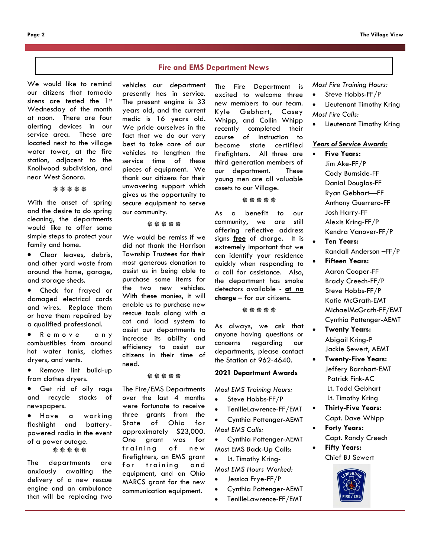#### **Fire and EMS Department News**

We would like to remind our citizens that tornado sirens are tested the 1st Wednesday of the month at noon. There are four alerting devices in our service area. These are located next to the village water tower, at the fire station, adjacent to the Knollwood subdivision, and near West Sonora.

**涤涤涤涤** 

With the onset of spring and the desire to do spring cleaning, the departments would like to offer some simple steps to protect your family and home.

Clear leaves, debris, and other yard waste from around the home, garage, and storage sheds.

• Check for frayed or damaged electrical cords and wires. Replace them or have them repaired by a qualified professional.

• Remove any combustibles from around hot water tanks, clothes dryers, and vents.

• Remove lint build-up from clothes dryers.

Get rid of oily rags and recycle stacks of newspapers.

• Have a working flashlight and batterypowered radio in the event of a power outage. \*\*\*\*\*

The departments are anxiously awaiting the delivery of a new rescue engine and an ambulance that will be replacing two

vehicles our department presently has in service. The present engine is 33 years old, and the current medic is 16 years old. We pride ourselves in the fact that we do our very best to take care of our vehicles to lengthen the service time of these pieces of equipment. We thank our citizens for their unwavering support which gives us the opportunity to secure equipment to serve our community.

盎盎盎盎

We would be remiss if we did not thank the Harrison Township Trustees for their most generous donation to assist us in being able to purchase some items for the two new vehicles. With these monies, it will enable us to purchase new rescue tools along with a cot and load system to assist our departments to increase its ability and efficiency to assist our citizens in their time of need.

\*\*\*\*\*

The Fire/EMS Departments over the last 4 months were fortunate to receive three grants from the State of Ohio for approximately \$23,000. One grant was for training of new firefighters, an EMS grant for training and equipment, and an Ohio MARCS grant for the new communication equipment.

excited to welcome three new members to our team. Kyle Gebhart, Casey Whipp, and Collin Whipp recently completed their course of instruction to become state certified firefighters. All three are third generation members of our department. These young men are all valuable assets to our Village.

The Fire Department is

#### \*\*\*\*\*

As a benefit to our community, we are still offering reflective address signs **free** of charge. It is extremely important that we can identify your residence quickly when responding to a call for assistance. Also, the department has smoke detectors available - **at no charge** – for our citizens.

\*\*\*\*\*

As always, we ask that anyone having questions or concerns regarding our departments, please contact the Station at 962-4640.

# **2021 Department Awards**

*Most EMS Training Hours:*

- Steve Hobbs-FF/P
- TenilleLawrence-FF/EMT

• Cynthia Pottenger-AEMT *Most EMS Calls:*

- Cynthia Pottenger-AEMT
- Most EMS Back-Up Calls:
- Lt. Timothy Kring-
- *Most EMS Hours Worked:*
- Jessica Frye-FF/P
- Cynthia Pottenger-AEMT
- TenilleLawrence-FF/EMT

*Most Fire Training Hours:*

- Steve Hobbs-FF/P
- Lieutenant Timothy Kring
- *Most Fire Calls:*
- Lieutenant Timothy Kring

#### *Years of Service Awards:*

- **Five Years:** Jim Ake-FF/P Cody Burnside-FF Danial Douglas-FF Ryan Gebhart—FF Anthony Guerrero-FF Josh Harry-FF Alexis Kring-FF/P Kendra Vanover-FF/P
- **Ten Years:** Randall Anderson –FF/P
- **Fifteen Years:** Aaron Cooper-FF Brady Creech-FF/P Steve Hobbs-FF/P Katie McGrath-EMT MichaelMcGrath-FF/EMT Cynthia Pottenger-AEMT
- **Twenty Years:** Abigail Kring-P Jackie Sewert, AEMT
- **Twenty-Five Years:** Jeffery Barnhart-EMT Patrick Fink-AC Lt. Todd Gebhart Lt. Timothy Kring
- **Thirty-Five Years:** Capt. Dave Whipp
	- **Forty Years:** Capt. Randy Creech
- **Fifty Years:** Chief BJ Sewert

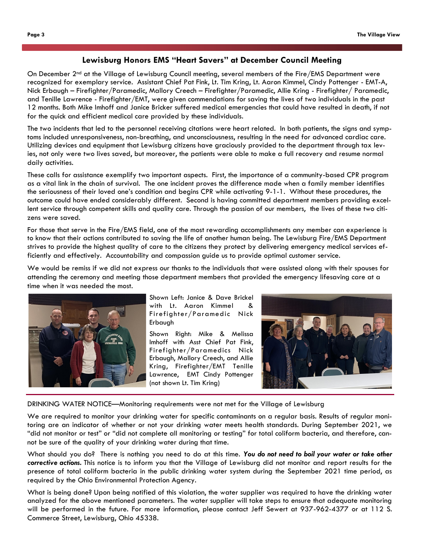### **Lewisburg Honors EMS "Heart Savers" at December Council Meeting**

On December 2<sup>nd</sup> at the Village of Lewisburg Council meeting, several members of the Fire/EMS Department were recognized for exemplary service. Assistant Chief Pat Fink, Lt. Tim Kring, Lt. Aaron Kimmel, Cindy Pottenger - EMT-A, Nick Erbaugh – Firefighter/Paramedic, Mallory Creech – Firefighter/Paramedic, Allie Kring - Firefighter/ Paramedic, and Tenille Lawrence - Firefighter/EMT, were given commendations for saving the lives of two individuals in the past 12 months. Both Mike Imhoff and Janice Bricker suffered medical emergencies that could have resulted in death, if not for the quick and efficient medical care provided by these individuals.

The two incidents that led to the personnel receiving citations were heart related. In both patients, the signs and symptoms included unresponsiveness, non-breathing, and unconsciousness, resulting in the need for advanced cardiac care. Utilizing devices and equipment that Lewisburg citizens have graciously provided to the department through tax levies, not only were two lives saved, but moreover, the patients were able to make a full recovery and resume normal daily activities.

These calls for assistance exemplify two important aspects. First, the importance of a community-based CPR program as a vital link in the chain of survival. The one incident proves the difference made when a family member identifies the seriousness of their loved one's condition and begins CPR while activating 9-1-1. Without these procedures, the outcome could have ended considerably different. Second is having committed department members providing excellent service through competent skills and quality care. Through the passion of our members, the lives of these two citizens were saved.

For those that serve in the Fire/EMS field, one of the most rewarding accomplishments any member can experience is to know that their actions contributed to saving the life of another human being. The Lewisburg Fire/EMS Department strives to provide the highest quality of care to the citizens they protect by delivering emergency medical services efficiently and effectively. Accountability and compassion guide us to provide optimal customer service.

We would be remiss if we did not express our thanks to the individuals that were assisted along with their spouses for attending the ceremony and meeting those department members that provided the emergency lifesaving care at a time when it was needed the most.



Shown Left: Janice & Dave Brickel with Lt. Aaron Kimmel & Firefighter/Paramedic Nick Erbaugh

Shown Right: Mike & Melissa Imhoff with Asst Chief Pat Fink, Firefighter/Paramedics Nick Erbaugh, Mallory Creech, and Allie Kring, Firefighter/EMT Tenille Lawrence, EMT Cindy Pottenger (not shown Lt. Tim Kring)



DRINKING WATER NOTICE—Monitoring requirements were not met for the Village of Lewisburg

We are required to monitor your drinking water for specific contaminants on a regular basis. Results of regular monitoring are an indicator of whether or not your drinking water meets health standards. During September 2021, we "did not monitor or test" or "did not complete all monitoring or testing" for total coliform bacteria, and therefore, cannot be sure of the quality of your drinking water during that time.

What should you do? There is nothing you need to do at this time. *You do not need to boil your water or take other corrective actions.* This notice is to inform you that the Village of Lewisburg did not monitor and report results for the presence of total coliform bacteria in the public drinking water system during the September 2021 time period, as required by the Ohio Environmental Protection Agency.

What is being done? Upon being notified of this violation, the water supplier was required to have the drinking water analyzed for the above mentioned parameters. The water supplier will take steps to ensure that adequate monitoring will be performed in the future. For more information, please contact Jeff Sewert at 937-962-4377 or at 112 S. Commerce Street, Lewisburg, Ohio 45338.